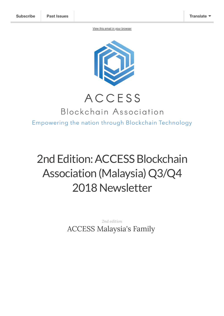[View this email in your browser](https://mailchi.mp/11cc57d797dc/2nd-edition-access-q3-q4-newsletter?e=[UNIQID])



## ACCESS

### Blockchain Association Empowering the nation through Blockchain Technology

# 2nd Edition: ACCESS Blockchain Association (Malaysia) Q3/Q4 2018Newsletter

*2nd edition* ACCESS Malaysia's Family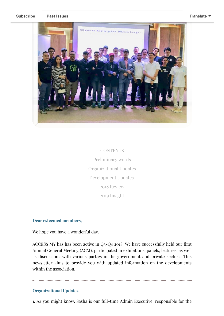

**CONTENTS** Preliminary words Organizational Updates Development Updates 2018 Review 2019 Insight

#### **Dear esteemed members,**

We hope you have a wonderful day.

ACCESS MY has has been active in  $Q_3-Q_4$  2018. We have successfully held our first Annual General Meeting (AGM), participated in exhibitions, panels, lectures, as well as discussions with various parties in the government and private sectors. This newsletter aims to provide you with updated information on the developments within the association.

#### **Organizational Updates**

1. As you might know, Sasha is our full-time Admin Executive; responsible for the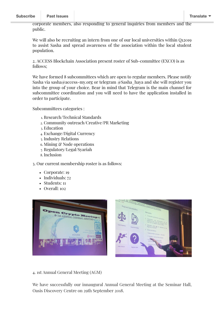corporate members, also responding to general inquiries from members and the public.

We will also be recruiting an intern from one of our local universities within Q12019 to assist Sasha and spread awareness of the association within the local student population.

2. ACCESS Blockchain Association present roster of Sub-committee (EXCO) is as follows;

We have formed 8 subcommittees which are open to regular members. Please notify Sasha via sasha@access-my.org or telegram @Sasha\_haya and she will register you into the group of your choice. Bear in mind that Telegram is the main channel for subcommittee coordination and you will need to have the application installed in order to participate.

Subcommittees categories :

- 1. Research/Technical Standards
- 2. Community outreach/Creative/PR Marketing
- 3. Education
- 4. Exchange/Digital Currency
- 5. Industry Relations
- 6. Mining & Node operations
- 7. Regulatory/Legal/Syariah
- 8. Inclusion

3. Our current membership roster is as follows:

- Corporate: 19
- Individuals: 72
- Students: 11
- Overall: 102



4. 1st Annual General Meeting (AGM)

We have successfully our innaugural Annual General Meeting at the Seminar Hall, Oasis Discovery Centre on 29th September 2018.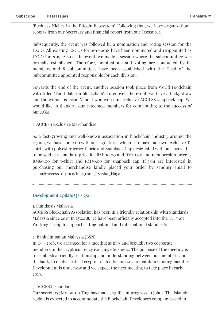"Business Niches in the Bitcoin Ecosystem". Following that, we have organizational reports from our Secretary and financial report from our Treasurer.

Subsequently, the event was followed by a nomination and voting session for the EXCO. All existing EXCOs for 2017-2018 have been nominated and reappointed as EXCO for 2019. Also at the event, we made a session where the subcommittee was formally established. Therefore, nominations and voting are conducted by its members and 8 subcommittees have been established with the Head of the Subcommittee appointed responsible for each division.

Towards the end of the event, another session took place from World Foodchain with titled "Food data on blockchain". To enliven the event, we have a lucky draw and the winner is Jason Vandal who won our exclusive ACCESS snapback cap. We would like to thank all our esteemed members for contributing to the success of our AGM.

#### 5. ACCESS Exclusive Merchandise

As a fast-growing and well-known association in blockchain industry around the region, we have come up with our signatures which is to have our own exclusive Tshirts with polyester jersey fabric and Snapback Cap designated with our logos. It is to be sold at a standard price for RM100.00 and RM50.00 and membership price is RM60.00 for t-shirt and RM30.00 for snapback cap. If you are interested in purchasing our merchandise kindly placed your order by sending email to sasha@access-my.org/telegram @Sasha\_Haya

### **Development Update Q3 - Q4**

1. Standards Malaysia

ACCESS Blockchain Association has been in a friendly relationship with Standards Malaysia since 2017. In Q32018, we have been officially accepted into the TC  $/$  307 Working Group to support setting national and international standards.

2. Bank Simpanan Malaysia (BSN)

In Q4 / 2018, we arranged for a meeting at BSN and brought two corporate members in the cryptocurrency exchange business. The purpose of the meeting is to establish a friendly relationship and understanding between our members and the bank, to enable critical crypto-related businesses to maintain banking facilities. Development is underway and we expect the next meeting to take place in early 2019.

#### 3. ACCESS Iskandar

Our secretary; Mr. Aaron Ting has made signicant progress in Johor. The Iskandar region is expected to accommodate the Blockchain Developers company based in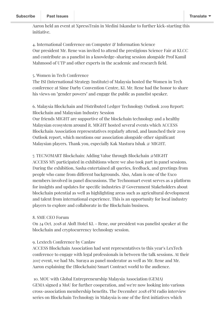Aaron held an event at XpressTrain in Medini Iskandar to further kick-starting this initiative.

4. International Conference on Computer & Information Science Our president Mr. Rene was invited to attend the prestigious Science Fair at KLCC and contribute as a panelist in a knowledge-sharing session alongside Prof Kamil Mahmood of UTP and other experts in the academic and research field.

#### 5. Women in Tech Conference

The ISI (International Strategy Institute) of Malaysia hosted the Women in Tech conference at Sime Darby Convention Centre, KL Mr. Rene had the honor to share his views on "gender powers" and engage the public as panelist speaker.

6. Malaysia Blockchain and Distributed Ledger Technology Outlook 2019 Report: Blockchain and Malaysian Industry Session

Our friends MIGHT are supportive of the blockchain technology and a healthy Malaysian ecosystem around it. MIGHT hosted several events which ACCESS Blockchain Association representatives regularly attend, and launched their 2019 Outlook report, which mentions our association alongside other signicant Malaysian players. Thank you, especially Kak Mastura Ishak @ MIGHT.

7. TECNOMART Blockchain: Adding Value through Blockchain @MIGHT ACCESS MY participated in exhibitions where we also took part in panel sessions. During the exhibition, Sasha entertained all queries, feedback, and greetings from people who came from different backgrounds. Also, Adam is one of the Exco members involved in panel discussions. The Technomart event serves as a platform for insights and updates for specific industries  $\mathcal C$  Government Stakeholders about blockchain potential as well as highlighting areas such as agricultural development and talent from international experience. This is an opportunity for local industry players to explore and collaborate in the Blockchain business.

#### 8. SME CEO Forum

On 24 Oct. 2018 at Aloft Hotel KL - Rene, our president was panelist speaker at the blockchain and cryptocurrency technology session.

#### 9. Lextech Conference by Canlaw

ACCESS Blockchain Association had sent representatives to this year's LexTech conference to engage with legal professionals in between the talk sessions. At their 2017 event, we had Ms. Suraya as panel moderator as well as Mr. Rene and Mr. Aaron explaining the (Blockchain) Smart Contract world to the audience.

10. MOU with Global Entrepreneurship Malaysia Association (GEMA) GEMA signed a MoU for further cooperation, and we're now looking into various cross-association membership benets. The December 2018 eFM radio interview series on Blockchain Technology in Malaysia is one of the first initiatives which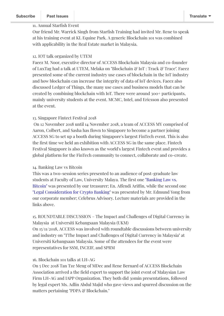#### 11. Annual Starfish Event

Our friend Mr. Warrick Singh from Starfish Training had invited Mr. Rene to speak at his training event at KL Equine Park. A generic Blockchain 101 was combined with applicability in the Real Estate market in Malaysia.

#### 12. IOT talk organized by UTEM

Faeez M. Noor, executive director of ACCESS Blockchain Malaysia and co-founder of LuxTag had a talk at UTEM, Melaka on "Blockchain & IoT : Track & Trace". Faeez presented some of the current industry use cases of blockchain in the IoT industry and how blockchain can increase the integrity of data of IoT devices. Faeez also discussed Ledger of Things, the many use cases and business models that can be created by combining blockchain with IoT. There were around 300+ participants, mainly university students at the event. MCMC, Intel, and Ericsson also presented at the event.

#### 13. Singapore Fintect Festival 2018

On 12 November 2018 until 14 November 2018, a team of ACCESS MY comprised of Aaron, Colbert, and Sasha has flown to Singapore to become a partner joining ACCESS SG to set up a booth during Singapore's largest FinTech event. This is also the first time we held an exhibition with ACCESS SG in the same place. Fintech Festival Singapore is also known as the world's largest Fintech event and provides a global platform for the FinTech community to connect, collaborate and co-create.

#### 14. Banking Law vs Bitcoin

This was a two-session series presented to an audience of post-graduate law students at Faculty of Law, [University](http://vardiz.com/wp-content/uploads/2018/10/Bitcoin-Banking-Law-vs-Bitcoin.pdf) Malaya. The first one "Banking Law vs. Bitcoin" was presented by our treasurer; En. Affendi Ariffin, while the second one "Legal [Consideration](https://celebrusadvisory.com/wp-content/uploads/2018/11/Abridged-Uni-Malaya-Law-Faculty-2018-1115.pdf) for Crypto Banking" was presented by Mr. Edmund Yong from our corporate member; Celebrus Advisory. Lecture materials are provided in the links above.

15. ROUNDTABLE DISCUSSION – The Impact and Challenges of Digital Currency in Malaysia at Universiti Kebangsaan Malaysia (UKM) On 15/11/2018, ACCESS was involved with roundtable discussions between university and industry on "TThe Impact and Challenges of Digital Currency in Malaysia" at Universiti Kebangsaan Malaysia. Some of the attendees for the event were representatives for SSM, INCEIF, and SPRM

#### 16. Blockchain 101 talks at LH-AG

On 5 Dec 2018 Tan Tze Meng of MDec and Rene Bernard of ACCESS Blockchain Association arrived a the field expert to support the joint event of Malaysian Law Firm LH-AG and IAPP Organization. They both did 30min presentations, followed by legal expert Ms. Adlin Abdul Majid who gave views and spurred discussion on the matters pertaining "PDPA & Blockchain."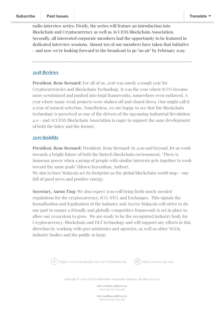radio interview series. Firstly, the series will feature an introduction into Blockchain and Cryptocurrency as well as ACCESS Blockchain Association. Secondly, all interested corporate members had the opportunity to be featured in dedicated interview sessions. Almost ten of our members have taken that initiative - and now we're looking forward to the broadcast to go "on air" by February 2019.

#### **2018 Reviews**

**President, Rene Bernard:** For all of us, 2018 was surely a rough year for Cryptocurrencies and Blockchain Technology. It was the year where ICO's became more scrutinized and pushed into legal frameworks, somewhere even outlawed. A year where many weak projects were shaken off and closed down. One might call it a year of natural selection. Nonetheless, we are happy to see that the Blockchain technology is perceived as one of the drivers of the upcoming Industrial Revolution 4.0 - and ACCESS Blockchain Association is eager to support the sane development of both the latter and the former.

#### **2019 Insights**

**President, Rene Bernard:** President, Rene Bernard: In 2019 and beyond, let us work towards a bright future of both the fintech blockchain environment. "There is immense power when a group of people with similar interests gets together to work toward the same goals" (Idowu Koyenikan, Author).

We aim to have Malaysia set its footprint on the global blockchain world map - one full of good news and positive energy.

**Secretary, Aaron Ting:** We also expect 2019 will bring forth much-needed regulations for the cryptocurrency, ICO, STO, and Exchanges. This signals the formalization and legalization of the industry and Access Malaysia will strive to do our part to ensure a friendly and globally competitive framework is set in place to allow our ecosystem to grow. We are ready to be the recognized industry body for Cryptocurrency, Blockchain and DLT technology and will support any efforts in this direction by working with govt ministries and agencies, as well as other NGOs, Industry bodies and the public at large.



[https://www.facebook.com/ACCESSmalaysia](http://www.facebook.com/sharer/sharer.php?u=https%3A%2F%2Fmailchi.mp%2F11cc57d797dc%2F2nd-edition-access-q3-q4-newsletter)  $(\Box)$  [info@access-my.org](http://us18.forward-to-friend.com/forward?u=08cb80f0367614fd075f66d13&id=15e50eca16&e=[UNIQID])



*Copyright © 2018 ACCESS Blockchain Association Malaysia All rights reserved.*

**Our website address is:** www.aacess-my.org

**Our mailing address is:** info@access-my.org